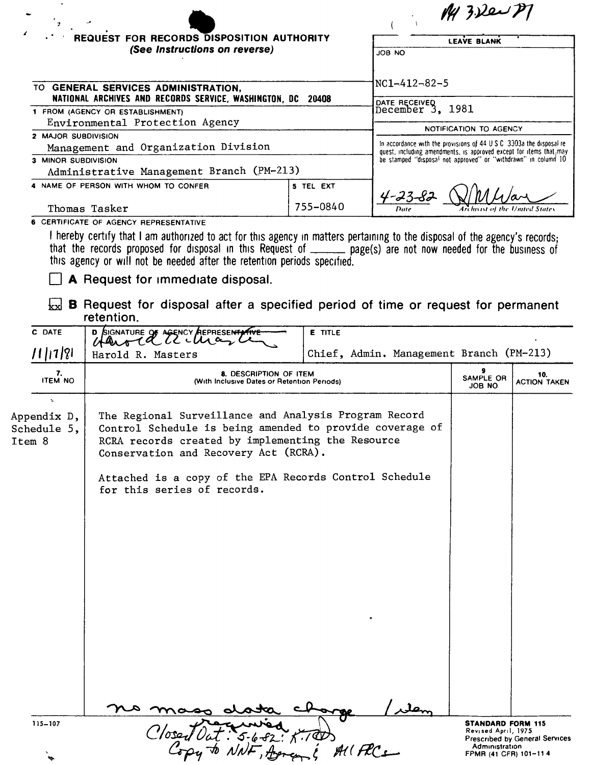| <b>REQUEST FOR RECORDS DISPOSITION AUTHORITY</b>                                                                                                                                                                                                                                                                           |           | <b>LEAVE BLANK</b>                                                                                                                                                                                             |  |
|----------------------------------------------------------------------------------------------------------------------------------------------------------------------------------------------------------------------------------------------------------------------------------------------------------------------------|-----------|----------------------------------------------------------------------------------------------------------------------------------------------------------------------------------------------------------------|--|
| (See Instructions on reverse)                                                                                                                                                                                                                                                                                              |           | JOB NO                                                                                                                                                                                                         |  |
| TO GENERAL SERVICES ADMINISTRATION.<br>NATIONAL ARCHIVES AND RECORDS SERVICE, WASHINGTON, DC 20408                                                                                                                                                                                                                         |           | $NC1 - 412 - 82 - 5$                                                                                                                                                                                           |  |
| 1 FROM (AGENCY OR ESTABLISHMENT)                                                                                                                                                                                                                                                                                           |           | DATE RECEIVED<br>December $3, 1981$<br>NOTIFICATION TO AGENCY                                                                                                                                                  |  |
| Environmental Protection Agency                                                                                                                                                                                                                                                                                            |           |                                                                                                                                                                                                                |  |
| 2 MAJOR SUBDIVISION<br>Management and Organization Division                                                                                                                                                                                                                                                                |           | In accordance with the provisions of 44 U.S.C. 3303a the disposal re-<br>quest, including amendments, is approved except for items that, may<br>be stamped "disposal not approved" or "withdrawn" in column 10 |  |
| 3 MINOR SUBDIVISION<br>Administrative Management Branch (PM-213)                                                                                                                                                                                                                                                           |           |                                                                                                                                                                                                                |  |
| 4 NAME OF PERSON WITH WHOM TO CONFER                                                                                                                                                                                                                                                                                       | 5 TEL EXT | 4-23-8                                                                                                                                                                                                         |  |
| Thomas Tasker                                                                                                                                                                                                                                                                                                              | 755-0840  | Date<br>Archivist of the United States                                                                                                                                                                         |  |
| 6 CERTIFICATE OF AGENCY REPRESENTATIVE                                                                                                                                                                                                                                                                                     |           |                                                                                                                                                                                                                |  |
| I hereby certify that I am authorized to act for this agency in matters pertaining to the disposal of the agency's records;<br>that the records proposed for disposal in this Request of ______ page(s) are not now needed for the business of<br>this agency or will not be needed after the retention periods specified. |           |                                                                                                                                                                                                                |  |
| A Request for immediate disposal.                                                                                                                                                                                                                                                                                          |           |                                                                                                                                                                                                                |  |

 $\sqrt{\text{ex}}$  **B** Request for disposal after a specified period of time or request for permanent retention.

| C DATE                                     | D SIGNATURE OF AGENCY REPRESENTATIVE                                                                                                                                                                                                                                                                     | <b>E</b> TITLE                           |                                                 |                                |
|--------------------------------------------|----------------------------------------------------------------------------------------------------------------------------------------------------------------------------------------------------------------------------------------------------------------------------------------------------------|------------------------------------------|-------------------------------------------------|--------------------------------|
| 11 11 21                                   | Harold R. Masters                                                                                                                                                                                                                                                                                        | Chief, Admin. Management Branch (PM-213) |                                                 |                                |
| 7.<br><b>ITEM NO</b>                       | <b>8. DESCRIPTION OF ITEM</b><br>(With Inclusive Dates or Retention Periods)                                                                                                                                                                                                                             |                                          | 9<br>SAMPLE OR<br>JOB NO                        | 10.<br><b>ACTION TAKEN</b>     |
| ÷.<br>Appendix D,<br>Schedule 5,<br>Item 8 | The Regional Surveillance and Analysis Program Record<br>Control Schedule is being amended to provide coverage of<br>RCRA records created by implementing the Resource<br>Conservation and Recovery Act (RCRA).<br>Attached is a copy of the EPA Records Control Schedule<br>for this series of records. |                                          |                                                 |                                |
| 115-107                                    |                                                                                                                                                                                                                                                                                                          |                                          | <b>STANDARD FORM 115</b><br>Revised April, 1975 |                                |
|                                            |                                                                                                                                                                                                                                                                                                          | $AUFC$ s                                 | Administration<br>FPMR (41 CFR) 101-114         | Prescribed by General Services |